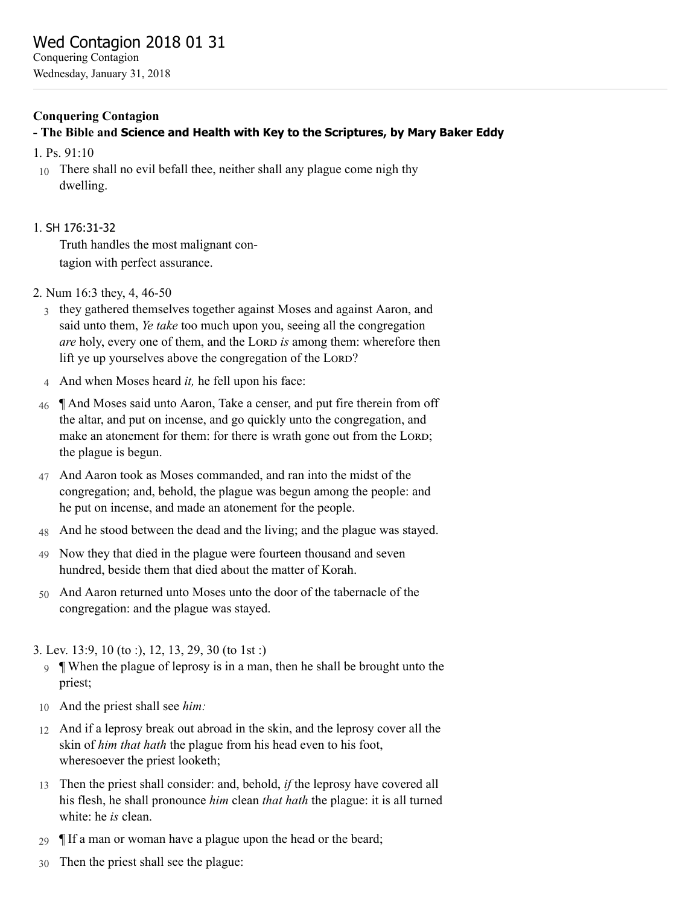# Conquering Contagion

- The Bible and Science and Health with Key to the Scriptures, by Mary Baker Eddy
- 1. [Ps. 91:10](http://www.concordworks.com/citation/Ps.%2091:10)
- 10 There shall no evil befall thee, neither shall any plague come nigh thy dwelling.

# 1. SH [176:31-32](http://www.concordworks.com/citation/SH%20176:31-32)

Truth handles the most malignant con‐ tagion with perfect assurance.

- 2. [Num 16:3 they, 4, 46-50](http://www.concordworks.com/citation/Num%2016:3%20they,%204,%2046-50)
	- 3 they gathered themselves together against Moses and against Aaron, and said unto them, *Ye take* too much upon you, seeing all the congregation *are* holy, every one of them, and the LORD is among them: wherefore then lift ye up yourselves above the congregation of the LORD?
	- 4 And when Moses heard *it,* he fell upon his face:
- 46 ¶ And Moses said unto Aaron, Take a censer, and put fire therein from off the altar, and put on incense, and go quickly unto the congregation, and make an atonement for them: for there is wrath gone out from the LORD; the plague is begun.
- 47 And Aaron took as Moses commanded, and ran into the midst of the congregation; and, behold, the plague was begun among the people: and he put on incense, and made an atonement for the people.
- 48 And he stood between the dead and the living; and the plague was stayed.
- 49 Now they that died in the plague were fourteen thousand and seven hundred, beside them that died about the matter of Korah.
- 50 And Aaron returned unto Moses unto the door of the tabernacle of the congregation: and the plague was stayed.

# 3. [Lev. 13:9, 10 \(to :\), 12, 13, 29, 30 \(to 1st :\)](http://www.concordworks.com/citation/Lev.%2013:9,%2010%20(to%20:),%2012,%2013,%2029,%2030%20(to%201st%20:))

- 9 ¶ When the plague of leprosy is in a man, then he shall be brought unto the priest;
- 10 And the priest shall see *him:*
- 12 And if a leprosy break out abroad in the skin, and the leprosy cover all the skin of *him that hath* the plague from his head even to his foot, wheresoever the priest looketh;
- 13 Then the priest shall consider: and, behold, *if* the leprosy have covered all his flesh, he shall pronounce *him* clean *that hath* the plague: it is all turned white: he *is* clean.
- 29 ¶ If a man or woman have a plague upon the head or the beard;
- 30 Then the priest shall see the plague: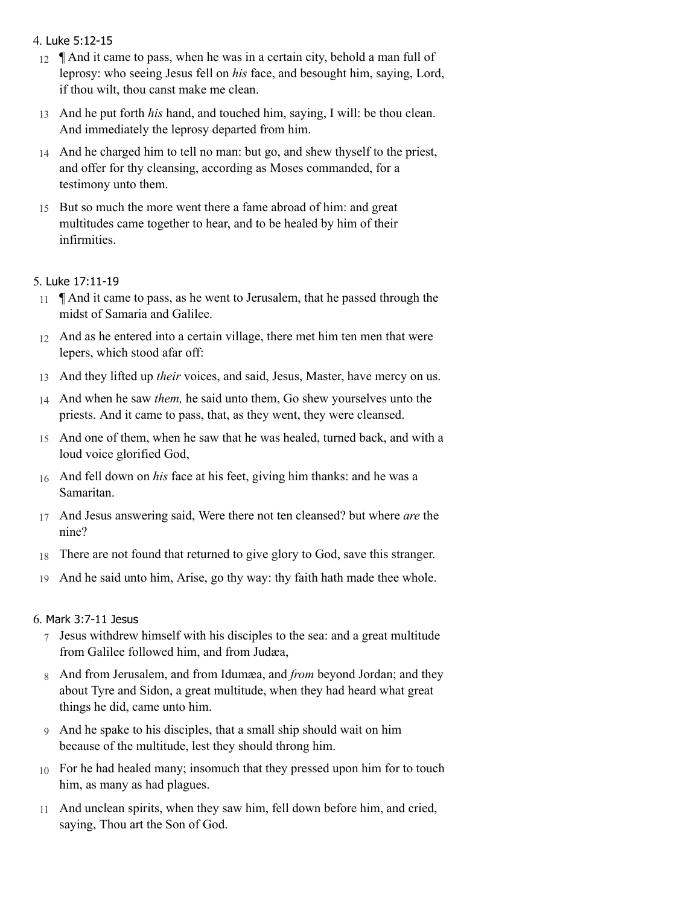# 4. Luke [5:12-15](http://www.concordworks.com/citation/Luke%205:12-15)

- 12  $\parallel$  And it came to pass, when he was in a certain city, behold a man full of leprosy: who seeing Jesus fell on *his* face, and besought him, saying, Lord, if thou wilt, thou canst make me clean.
- 13 And he put forth *his* hand, and touched him, saying, I will: be thou clean. And immediately the leprosy departed from him.
- 14 And he charged him to tell no man: but go, and shew thyself to the priest, and offer for thy cleansing, according as Moses commanded, for a testimony unto them.
- 15 But so much the more went there a fame abroad of him: and great multitudes came together to hear, and to be healed by him of their infirmities.

# 5. Luke [17:11-19](http://www.concordworks.com/citation/Luke%2017:11-19)

- 11 ¶ And it came to pass, as he went to Jerusalem, that he passed through the midst of Samaria and Galilee.
- 12 And as he entered into a certain village, there met him ten men that were lepers, which stood afar off:
- 13 And they lifted up *their* voices, and said, Jesus, Master, have mercy on us.
- 14 And when he saw *them,* he said unto them, Go shew yourselves unto the priests. And it came to pass, that, as they went, they were cleansed.
- 15 And one of them, when he saw that he was healed, turned back, and with a loud voice glorified God,
- 16 And fell down on *his* face at his feet, giving him thanks: and he was a Samaritan.
- 17 And Jesus answering said, Were there not ten cleansed? but where *are* the nine?
- 18 There are not found that returned to give glory to God, save this stranger.
- 19 And he said unto him, Arise, go thy way: thy faith hath made thee whole.

# 6. Mark [3:7-11](http://www.concordworks.com/citation/Mark%203:7-11%20Jesus) Jesus

- 7 Jesus withdrew himself with his disciples to the sea: and a great multitude from Galilee followed him, and from Judæa,
- 8 And from Jerusalem, and from Idumæa, and *from* beyond Jordan; and they about Tyre and Sidon, a great multitude, when they had heard what great things he did, came unto him.
- 9 And he spake to his disciples, that a small ship should wait on him because of the multitude, lest they should throng him.
- 10 For he had healed many; insomuch that they pressed upon him for to touch him, as many as had plagues.
- 11 And unclean spirits, when they saw him, fell down before him, and cried, saying, Thou art the Son of God.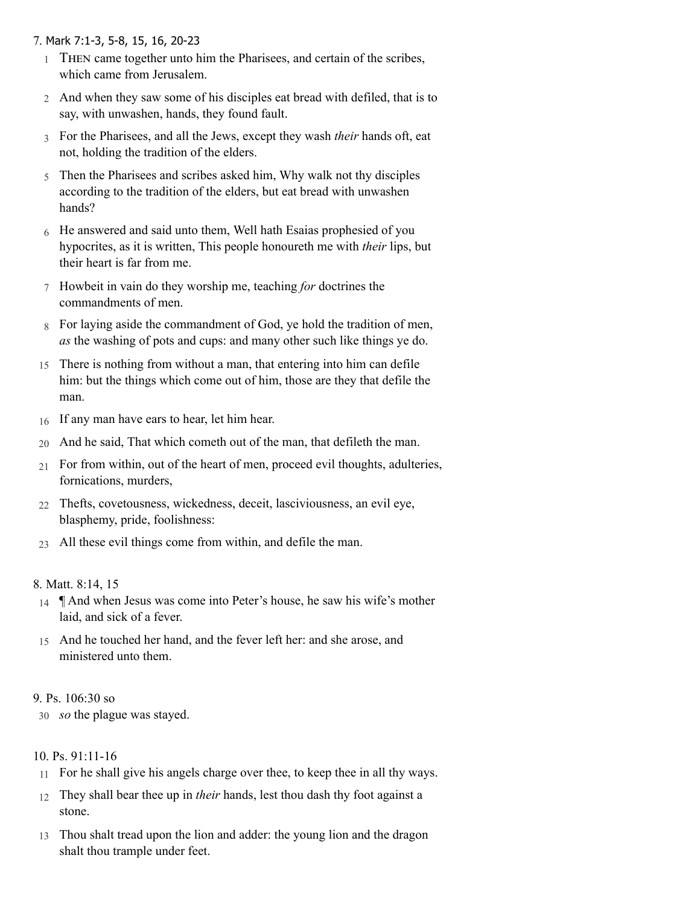# 7. Mark [7:1-3,](http://www.concordworks.com/citation/Mark%207:1-3,%205-8,%2015,%2016,%2020-23) 5-8, 15, 16, 20-23

- 1 THEN came together unto him the Pharisees, and certain of the scribes, which came from Jerusalem.
- 2 And when they saw some of his disciples eat bread with defiled, that is to say, with unwashen, hands, they found fault.
- 3 For the Pharisees, and all the Jews, except they wash *their* hands oft, eat not, holding the tradition of the elders.
- 5 Then the Pharisees and scribes asked him, Why walk not thy disciples according to the tradition of the elders, but eat bread with unwashen hands?
- 6 He answered and said unto them, Well hath Esaias prophesied of you hypocrites, as it is written, This people honoureth me with *their* lips, but their heart is far from me.
- 7 Howbeit in vain do they worship me, teaching *for* doctrines the commandments of men.
- 8 For laying aside the commandment of God, ye hold the tradition of men, *as* the washing of pots and cups: and many other such like things ye do.
- 15 There is nothing from without a man, that entering into him can defile him: but the things which come out of him, those are they that defile the man.
- 16 If any man have ears to hear, let him hear.
- 20 And he said, That which cometh out of the man, that defileth the man.
- 21 For from within, out of the heart of men, proceed evil thoughts, adulteries, fornications, murders,
- 22 Thefts, covetousness, wickedness, deceit, lasciviousness, an evil eye, blasphemy, pride, foolishness:
- 23 All these evil things come from within, and defile the man.

## 8. [Matt. 8:14, 15](http://www.concordworks.com/citation/Matt.%208:14,%2015)

- 14 ¶ And when Jesus was come into Peter's house, he saw his wife's mother laid, and sick of a fever.
- 15 And he touched her hand, and the fever left her: and she arose, and ministered unto them.

## 9. [Ps. 106:30 so](http://www.concordworks.com/citation/Ps.%20106:30%20so)

30 *so* the plague was stayed.

# 10. [Ps. 91:11-16](http://www.concordworks.com/citation/Ps.%2091:11-16)

- 11 For he shall give his angels charge over thee, to keep thee in all thy ways.
- 12 They shall bear thee up in *their* hands, lest thou dash thy foot against a stone.
- 13 Thou shalt tread upon the lion and adder: the young lion and the dragon shalt thou trample under feet.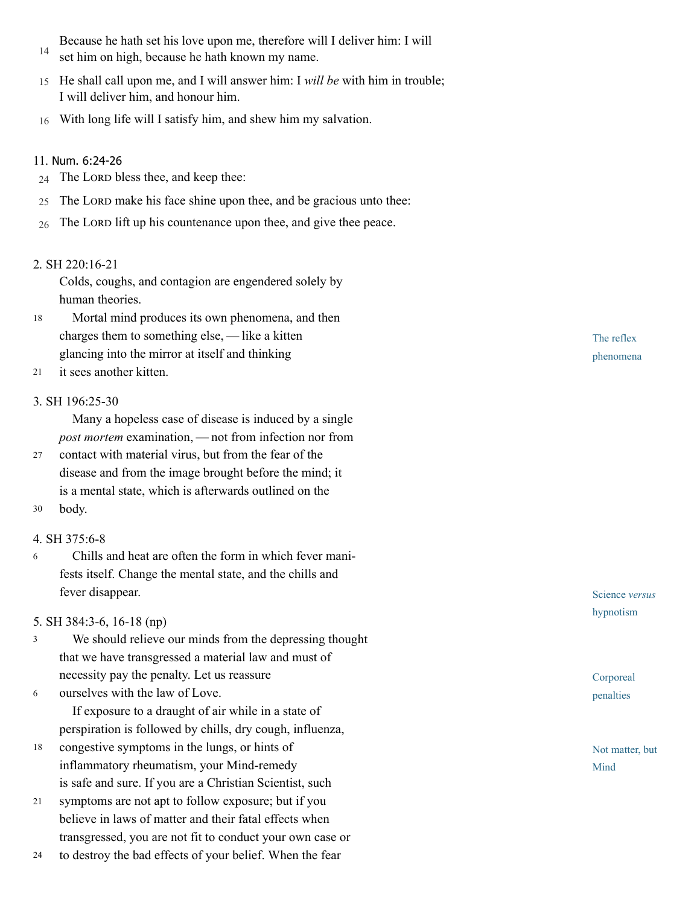- 14 Because he hath set his love upon me, therefore will I deliver him: I will set him on high, because he hath known my name.
- 15 He shall call upon me, and I will answer him: I *will be* with him in trouble; I will deliver him, and honour him.
- 16 With long life will I satisfy him, and shew him my salvation.

## 11. Num. [6:24-26](http://www.concordworks.com/citation/Num.%206:24-26)

- 24 The LORD bless thee, and keep thee:
- 25 The LORD make his face shine upon thee, and be gracious unto thee:
- 26 The LORD lift up his countenance upon thee, and give thee peace.

## 2. [SH 220:16-21](http://www.concordworks.com/citation/SH%20220:16-21)

Colds, coughs, and contagion are engendered solely by human theories.

- Mortal mind produces its own phenomena, and then charges them to something else, — like a kitten glancing into the mirror at itself and thinking 18
- it sees another kitten. 21

## 3. [SH 196:25-30](http://www.concordworks.com/citation/SH%20196:25-30)

 Many a hopeless case of disease is induced by a single *post mortem* examination, — not from infection nor from

- contact with material virus, but from the fear of the disease and from the image brought before the mind; it is a mental state, which is afterwards outlined on the 27
- body. 30

## 4. [SH 375:6-8](http://www.concordworks.com/citation/SH%20375:6-8)

 Chills and heat are often the form in which fever mani‐ fests itself. Change the mental state, and the chills and fever disappear. 6

## 5. [SH 384:3-6, 16-18 \(np\)](http://www.concordworks.com/citation/SH%20384:3-6,%2016-18%20(np))

- We should relieve our minds from the depressing thought that we have transgressed a material law and must of necessity pay the penalty. Let us reassure 3
- ourselves with the law of Love. If exposure to a draught of air while in a state of perspiration is followed by chills, dry cough, influenza, 6
- congestive symptoms in the lungs, or hints of inflammatory rheumatism, your Mind-remedy is safe and sure. If you are a Christian Scientist, such 18
- symptoms are not apt to follow exposure; but if you believe in laws of matter and their fatal effects when transgressed, you are not fit to conduct your own case or 21
- to destroy the bad effects of your belief. When the fear 24

The reflex phenomena

Science *versus* hypnotism

Corporeal penalties

Not matter, but Mind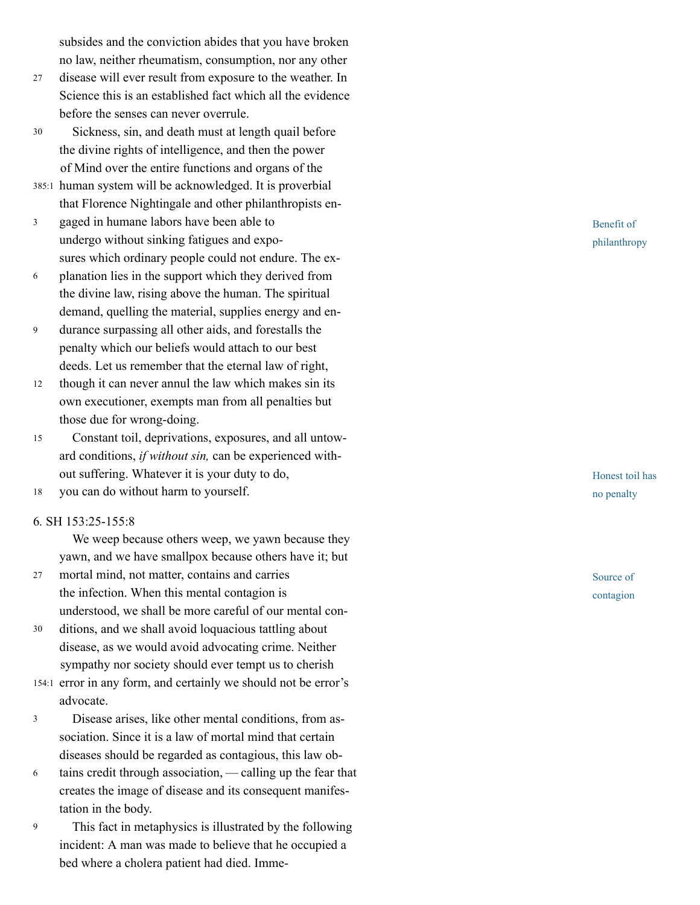subsides and the conviction abides that you have broken no law, neither rheumatism, consumption, nor any other

- disease will ever result from exposure to the weather. In Science this is an established fact which all the evidence before the senses can never overrule. 2 7
- Sickness, sin, and death must at length quail before the divine rights of intelligence, and then the power of Mind over the entire functions and organs of the 3 0
- 385:1 human system will be acknowledged. It is proverbial that Florence Nightingale and other philanthropists en ‐
- gaged in humane labors have been able to  $\mathfrak{Z}$ undergo without sinking fatigues and expo ‐ sures which ordinary people could not endure. The ex ‐
- 3<br>6<br>9<br>1 planation lies in the support which they derived from  $\sqrt{6}$ the divine law, rising above the human. The spiritual demand, quelling the material, supplies energy and en ‐
- durance surpassing all other aids, and forestalls the 9 penalty which our beliefs would attach to our best deeds. Let us remember that the eternal law of right,
- though it can never annul the law which makes sin its own executioner, exempts man from all penalties but those due for wrong-doing. 12
- Constant toil, deprivations, exposures, and all untow ‐ ard conditions, *if without sin,* can be experienced with ‐ out suffering. Whatever it is your duty to do, 1 5
- you can do without harm to yourself. 1 8

#### 6. [SH 153:25-155:8](http://www.concordworks.com/citation/SH%20153:25-155:8)

We weep because others weep, we yawn because they yawn, and we have smallpox because others have it; but

- mortal mind, not matter, contains and carries the infection. When this mental contagion is understood, we shall be more careful of our mental con ‐ 2 7
- ditions, and we shall avoid loquacious tattling about disease, as we would avoid advocating crime. Neither sympathy nor society should ever tempt us to cherish 3 0
- 154:1 error in any form, and certainly we should not be error's advocate.
- Disease arises, like other mental conditions, from as ‐  $\mathfrak{Z}$ sociation. Since it is a law of mortal mind that certain diseases should be regarded as contagious, this law ob ‐
- 3<br>6<br>9 tains credit through association, — calling up the fear that 6 creates the image of disease and its consequent manifes ‐ tation in the body.
- 9 This fact in metaphysics is illustrated by the following incident: A man was made to believe that he occupied a bed where a cholera patient had died. Imme ‐

Benefit of philanthropy

Honest toil has no penalty

Source of contagion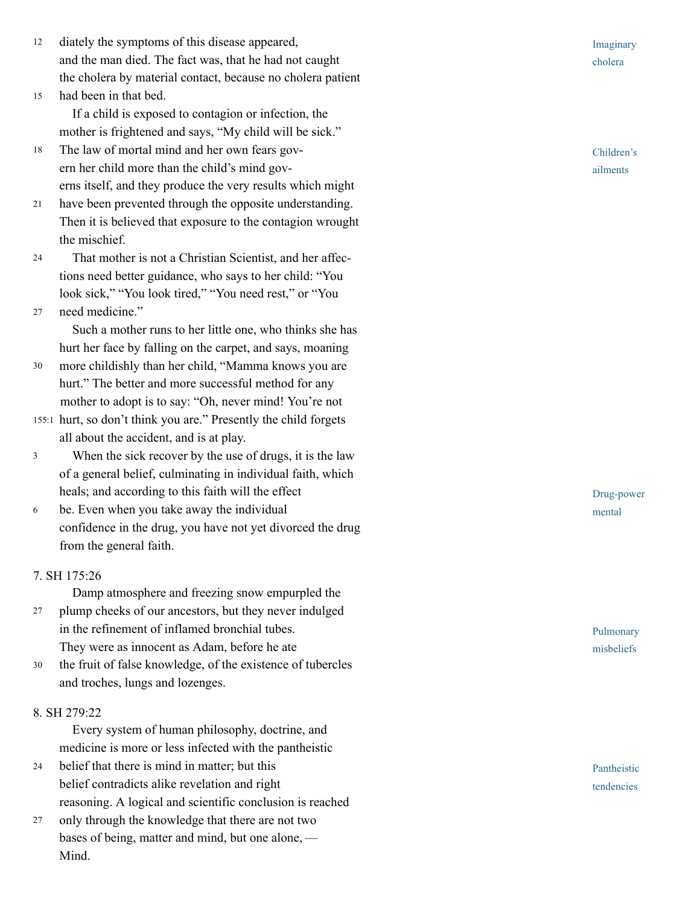- diately the symptoms of this disease appeared, and the man died. The fact was, that he had not caught the cholera by material contact, because no cholera patient 1 2
- had been in that bed. If a child is exposed to contagion or infection, the mother is frightened and says, "My child will be sick." 1 5
- The law of mortal mind and her own fears gov ‐ ern her child more than the child's mind gov ‐ erns itself, and they produce the very results which might 1 8
- have been prevented through the opposite understanding. Then it is believed that exposure to the contagion wrought the mischief. 2 1
- That mother is not a Christian Scientist, and her affec ‐ tions need better guidance, who says to her child: "You look sick," "You look tired," "You need rest," or "You 2 4
- need medicine." 2 7

 Such a mother runs to her little one, who thinks she has hurt her face by falling on the carpet, and says, moaning

- more childishly than her child, "Mamma knows you are hurt." The better and more successful method for any mother to adopt is to say: "Oh, never mind! You're not 3 0
- 155:1 hurt, so don't think you are." Presently the child forgets all about the accident, and is at play.
- When the sick recover by the use of drugs, it is the law  $\mathfrak{Z}$ 3<br>6 of a general belief, culminating in individual faith, which heals; and according to this faith will the effect
- be. Even when you take away the individual  $\sqrt{6}$ confidence in the drug, you have not yet divorced the drug from the general faith.

## 7. [SH 175:26](http://www.concordworks.com/citation/SH%20175:26)

Damp atmosphere and freezing snow empurpled the

- plump cheeks of our ancestors, but they never indulged in the refinement of inflamed bronchial tubes. They were as innocent as Adam, before he ate 2 7
- the fruit of false knowledge, of the existence of tubercles and troches, lungs and lozenges. 3 0

# 8. [SH 279:22](http://www.concordworks.com/citation/SH%20279:22)

 Every system of human philosophy, doctrine, and medicine is more or less infected with the pantheistic

- belief that there is mind in matter; but this belief contradicts alike revelation and right reasoning. A logical and scientific conclusion is reached 2 4
- only through the knowledge that there are not two bases of being, matter and mind, but one alone, — Mind. 2 7

Imaginary cholera

Children' s ailments

Drug-power mental

Pulmonary misbeliefs

Pantheistic tendencies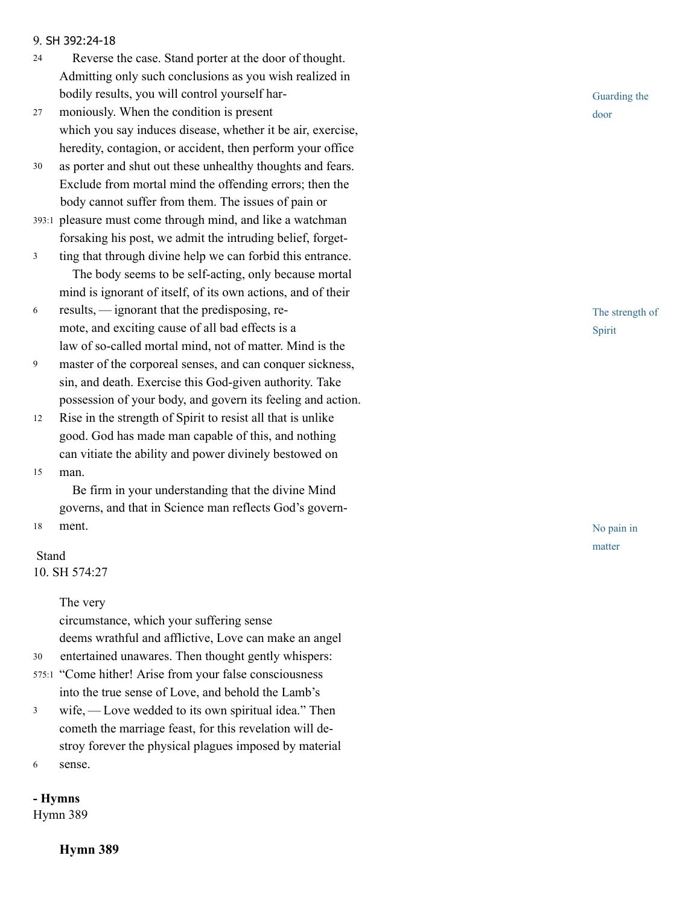#### 9. SH [392:24-18](http://www.concordworks.com/citation/SH%20392:24-18)

- Reverse the case. Stand porter at the door of thought. Admitting only such conclusions as you wish realized in bodily results, you will control yourself har‐ 24
- moniously. When the condition is present which you say induces disease, whether it be air, exercise, heredity, contagion, or accident, then perform your office 27
- as porter and shut out these unhealthy thoughts and fears. Exclude from mortal mind the offending errors; then the body cannot suffer from them. The issues of pain or 30
- pleasure must come through mind, and like a watchman 393:1 forsaking his post, we admit the intruding belief, forget‐
- ting that through divine help we can forbid this entrance. The body seems to be self-acting, only because mortal mind is ignorant of itself, of its own actions, and of their 3
- results, — ignorant that the predisposing, re‐ mote, and exciting cause of all bad effects is a law of so-called mortal mind, not of matter. Mind is the 6
- master of the corporeal senses, and can conquer sickness, sin, and death. Exercise this God-given authority. Take possession of your body, and govern its feeling and action. 9
- Rise in the strength of Spirit to resist all that is unlike good. God has made man capable of this, and nothing can vitiate the ability and power divinely bestowed on 12
- man. 15

 Be firm in your understanding that the divine Mind governs, and that in Science man reflects God's govern‐

ment. 18

#### Stand

30

10. [SH 574:27](http://www.concordworks.com/citation/SH%20574:27)

The very

circumstance, which your suffering sense deems wrathful and afflictive, Love can make an angel entertained unawares. Then thought gently whispers:

- 575:1 "Come hither! Arise from your false consciousness into the true sense of Love, and behold the Lamb's
- wife, Love wedded to its own spiritual idea." Then cometh the marriage feast, for this revelation will de‐ stroy forever the physical plagues imposed by material 3
- sense. 6

- Hymns

[Hymn 389](http://www.concordworks.com/citation/Hymn%20389)

Hymn 389



The strength of Spirit

No pain in matter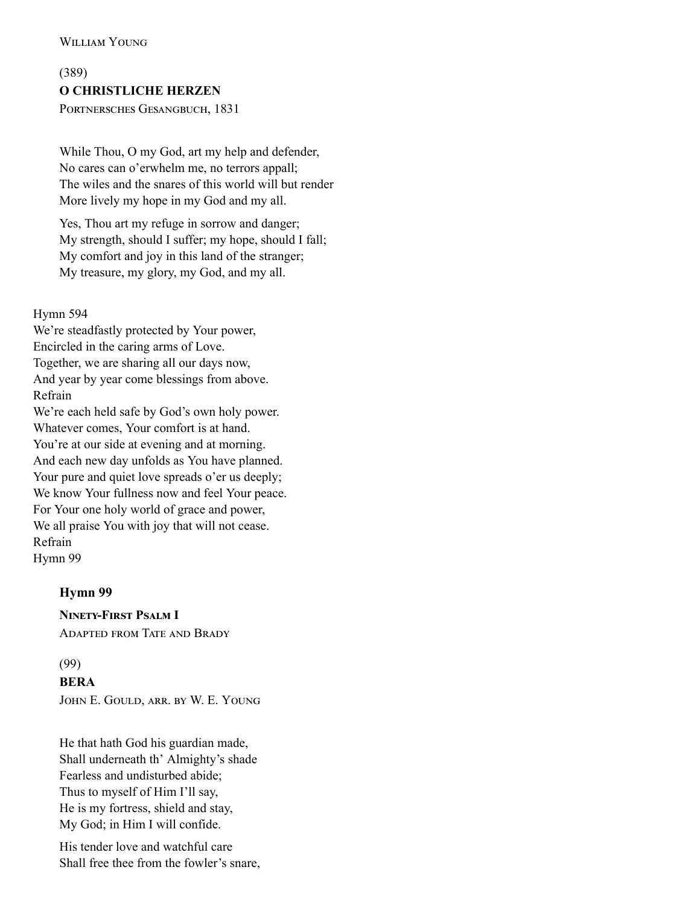(389) O CHRISTLICHE HERZEN PORTNERSCHES GESANGBUCH, 1831

While Thou, O my God, art my help and defender, No cares can o'erwhelm me, no terrors appall; The wiles and the snares of this world will but render More lively my hope in my God and my all.

Yes, Thou art my refuge in sorrow and danger; My strength, should I suffer; my hope, should I fall; My comfort and joy in this land of the stranger; My treasure, my glory, my God, and my all.

Hymn 594

We're steadfastly protected by Your power, Encircled in the caring arms of Love. Together, we are sharing all our days now, And year by year come blessings from above. Refrain We're each held safe by God's own holy power. Whatever comes, Your comfort is at hand. You're at our side at evening and at morning. And each new day unfolds as You have planned. Your pure and quiet love spreads o'er us deeply; We know Your fullness now and feel Your peace. For Your one holy world of grace and power, We all praise You with joy that will not cease. Refrain [Hymn 99](http://www.concordworks.com/citation/Hymn%2099)

## Hymn 99

**NINETY-FIRST PSALM I** 

ADAPTED FROM TATE AND BRADY

# (99)

## BERA

JOHN E. GOULD, ARR. BY W. E. YOUNG

He that hath God his guardian made, Shall underneath th' Almighty's shade Fearless and undisturbed abide; Thus to myself of Him I'll say, He is my fortress, shield and stay, My God; in Him I will confide.

His tender love and watchful care Shall free thee from the fowler's snare,